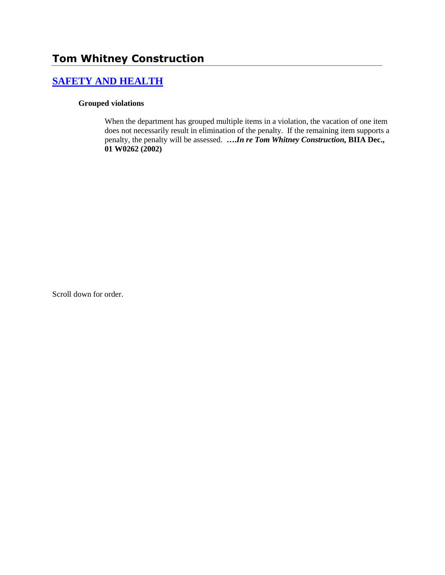# **Tom Whitney Construction**

## **[SAFETY AND HEALTH](http://www.biia.wa.gov/SDSubjectIndex.html#SAFETY_AND_HEALTH)**

#### **Grouped violations**

When the department has grouped multiple items in a violation, the vacation of one item does not necessarily result in elimination of the penalty. If the remaining item supports a penalty, the penalty will be assessed. **….***In re Tom Whitney Construction,* **BIIA Dec., 01 W0262 (2002)**

Scroll down for order.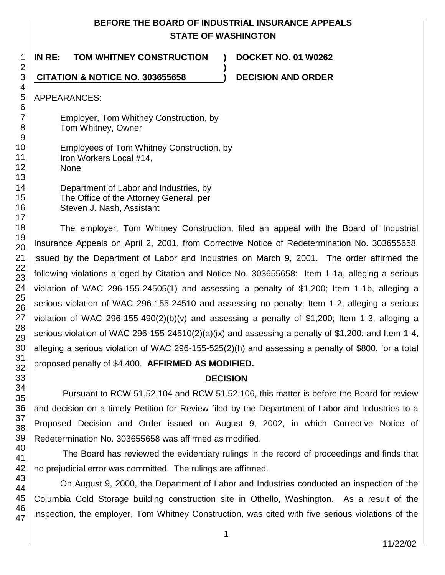## **BEFORE THE BOARD OF INDUSTRIAL INSURANCE APPEALS STATE OF WASHINGTON**

**)**

**IN RE: TOM WHITNEY CONSTRUCTION ) DOCKET NO. 01 W0262**

**CITATION & NOTICE NO. 303655658 ) DECISION AND ORDER**

APPEARANCES:

Employer, Tom Whitney Construction, by Tom Whitney, Owner

Employees of Tom Whitney Construction, by Iron Workers Local #14, None

> Department of Labor and Industries, by The Office of the Attorney General, per Steven J. Nash, Assistant

The employer, Tom Whitney Construction, filed an appeal with the Board of Industrial Insurance Appeals on April 2, 2001, from Corrective Notice of Redetermination No. 303655658, issued by the Department of Labor and Industries on March 9, 2001. The order affirmed the following violations alleged by Citation and Notice No. 303655658: Item 1-1a, alleging a serious violation of WAC 296-155-24505(1) and assessing a penalty of \$1,200; Item 1-1b, alleging a serious violation of WAC 296-155-24510 and assessing no penalty; Item 1-2, alleging a serious violation of WAC 296-155-490(2)(b)(v) and assessing a penalty of \$1,200; Item 1-3, alleging a serious violation of WAC 296-155-24510(2)(a)(ix) and assessing a penalty of \$1,200; and Item 1-4, alleging a serious violation of WAC 296-155-525(2)(h) and assessing a penalty of \$800, for a total proposed penalty of \$4,400. **AFFIRMED AS MODIFIED.**

## **DECISION**

Pursuant to RCW 51.52.104 and RCW 51.52.106, this matter is before the Board for review and decision on a timely Petition for Review filed by the Department of Labor and Industries to a Proposed Decision and Order issued on August 9, 2002, in which Corrective Notice of Redetermination No. 303655658 was affirmed as modified.

The Board has reviewed the evidentiary rulings in the record of proceedings and finds that no prejudicial error was committed. The rulings are affirmed.

47 On August 9, 2000, the Department of Labor and Industries conducted an inspection of the Columbia Cold Storage building construction site in Othello, Washington. As a result of the inspection, the employer, Tom Whitney Construction, was cited with five serious violations of the

1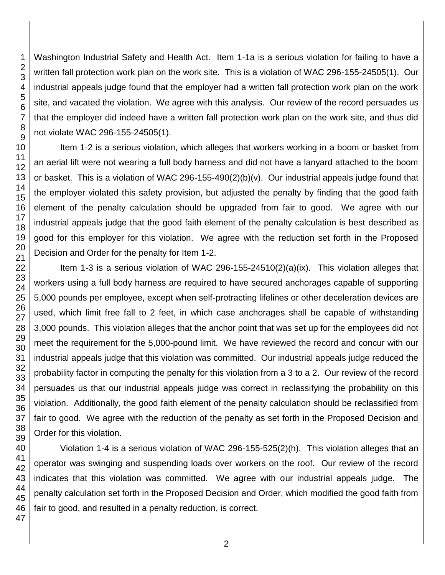Washington Industrial Safety and Health Act. Item 1-1a is a serious violation for failing to have a written fall protection work plan on the work site. This is a violation of WAC 296-155-24505(1). Our industrial appeals judge found that the employer had a written fall protection work plan on the work site, and vacated the violation. We agree with this analysis. Our review of the record persuades us that the employer did indeed have a written fall protection work plan on the work site, and thus did not violate WAC 296-155-24505(1).

Item 1-2 is a serious violation, which alleges that workers working in a boom or basket from an aerial lift were not wearing a full body harness and did not have a lanyard attached to the boom or basket. This is a violation of WAC 296-155-490(2)(b)(v). Our industrial appeals judge found that the employer violated this safety provision, but adjusted the penalty by finding that the good faith element of the penalty calculation should be upgraded from fair to good. We agree with our industrial appeals judge that the good faith element of the penalty calculation is best described as good for this employer for this violation. We agree with the reduction set forth in the Proposed Decision and Order for the penalty for Item 1-2.

Item 1-3 is a serious violation of WAC 296-155-24510(2)(a)(ix). This violation alleges that workers using a full body harness are required to have secured anchorages capable of supporting 5,000 pounds per employee, except when self-protracting lifelines or other deceleration devices are used, which limit free fall to 2 feet, in which case anchorages shall be capable of withstanding 3,000 pounds. This violation alleges that the anchor point that was set up for the employees did not meet the requirement for the 5,000-pound limit. We have reviewed the record and concur with our industrial appeals judge that this violation was committed. Our industrial appeals judge reduced the probability factor in computing the penalty for this violation from a 3 to a 2. Our review of the record persuades us that our industrial appeals judge was correct in reclassifying the probability on this violation. Additionally, the good faith element of the penalty calculation should be reclassified from fair to good. We agree with the reduction of the penalty as set forth in the Proposed Decision and Order for this violation.

Violation 1-4 is a serious violation of WAC 296-155-525(2)(h). This violation alleges that an operator was swinging and suspending loads over workers on the roof. Our review of the record indicates that this violation was committed. We agree with our industrial appeals judge. The penalty calculation set forth in the Proposed Decision and Order, which modified the good faith from fair to good, and resulted in a penalty reduction, is correct.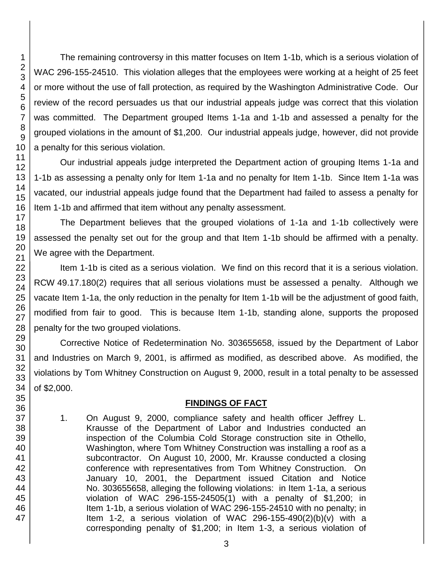The remaining controversy in this matter focuses on Item 1-1b, which is a serious violation of WAC 296-155-24510. This violation alleges that the employees were working at a height of 25 feet or more without the use of fall protection, as required by the Washington Administrative Code. Our review of the record persuades us that our industrial appeals judge was correct that this violation was committed. The Department grouped Items 1-1a and 1-1b and assessed a penalty for the grouped violations in the amount of \$1,200. Our industrial appeals judge, however, did not provide a penalty for this serious violation.

Our industrial appeals judge interpreted the Department action of grouping Items 1-1a and 1-1b as assessing a penalty only for Item 1-1a and no penalty for Item 1-1b. Since Item 1-1a was vacated, our industrial appeals judge found that the Department had failed to assess a penalty for Item 1-1b and affirmed that item without any penalty assessment.

The Department believes that the grouped violations of 1-1a and 1-1b collectively were assessed the penalty set out for the group and that Item 1-1b should be affirmed with a penalty. We agree with the Department.

Item 1-1b is cited as a serious violation. We find on this record that it is a serious violation. RCW 49.17.180(2) requires that all serious violations must be assessed a penalty. Although we vacate Item 1-1a, the only reduction in the penalty for Item 1-1b will be the adjustment of good faith, modified from fair to good. This is because Item 1-1b, standing alone, supports the proposed penalty for the two grouped violations.

Corrective Notice of Redetermination No. 303655658, issued by the Department of Labor and Industries on March 9, 2001, is affirmed as modified, as described above. As modified, the violations by Tom Whitney Construction on August 9, 2000, result in a total penalty to be assessed of \$2,000.

## **FINDINGS OF FACT**

1. On August 9, 2000, compliance safety and health officer Jeffrey L. Krausse of the Department of Labor and Industries conducted an inspection of the Columbia Cold Storage construction site in Othello, Washington, where Tom Whitney Construction was installing a roof as a subcontractor. On August 10, 2000, Mr. Krausse conducted a closing conference with representatives from Tom Whitney Construction. On January 10, 2001, the Department issued Citation and Notice No. 303655658, alleging the following violations: in Item 1-1a, a serious violation of WAC 296-155-24505(1) with a penalty of \$1,200; in Item 1-1b, a serious violation of WAC 296-155-24510 with no penalty; in Item 1-2, a serious violation of WAC 296-155-490 $(2)(b)(v)$  with a corresponding penalty of \$1,200; in Item 1-3, a serious violation of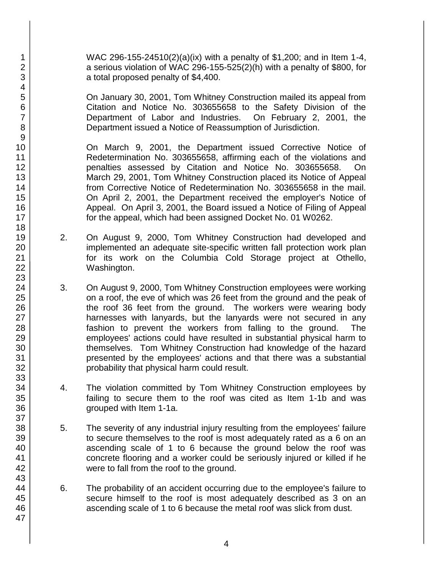WAC 296-155-24510(2)(a)(ix) with a penalty of \$1,200; and in Item 1-4, a serious violation of WAC 296-155-525(2)(h) with a penalty of \$800, for a total proposed penalty of \$4,400.

On January 30, 2001, Tom Whitney Construction mailed its appeal from Citation and Notice No. 303655658 to the Safety Division of the Department of Labor and Industries. On February 2, 2001, the Department issued a Notice of Reassumption of Jurisdiction.

On March 9, 2001, the Department issued Corrective Notice of Redetermination No. 303655658, affirming each of the violations and penalties assessed by Citation and Notice No. 303655658. On March 29, 2001, Tom Whitney Construction placed its Notice of Appeal from Corrective Notice of Redetermination No. 303655658 in the mail. On April 2, 2001, the Department received the employer's Notice of Appeal. On April 3, 2001, the Board issued a Notice of Filing of Appeal for the appeal, which had been assigned Docket No. 01 W0262.

- 2. On August 9, 2000, Tom Whitney Construction had developed and implemented an adequate site-specific written fall protection work plan for its work on the Columbia Cold Storage project at Othello, Washington.
- 3. On August 9, 2000, Tom Whitney Construction employees were working on a roof, the eve of which was 26 feet from the ground and the peak of the roof 36 feet from the ground. The workers were wearing body harnesses with lanyards, but the lanyards were not secured in any fashion to prevent the workers from falling to the ground. The employees' actions could have resulted in substantial physical harm to themselves. Tom Whitney Construction had knowledge of the hazard presented by the employees' actions and that there was a substantial probability that physical harm could result.
- 4. The violation committed by Tom Whitney Construction employees by failing to secure them to the roof was cited as Item 1-1b and was grouped with Item 1-1a.
- 5. The severity of any industrial injury resulting from the employees' failure to secure themselves to the roof is most adequately rated as a 6 on an ascending scale of 1 to 6 because the ground below the roof was concrete flooring and a worker could be seriously injured or killed if he were to fall from the roof to the ground.
- 6. The probability of an accident occurring due to the employee's failure to secure himself to the roof is most adequately described as 3 on an ascending scale of 1 to 6 because the metal roof was slick from dust.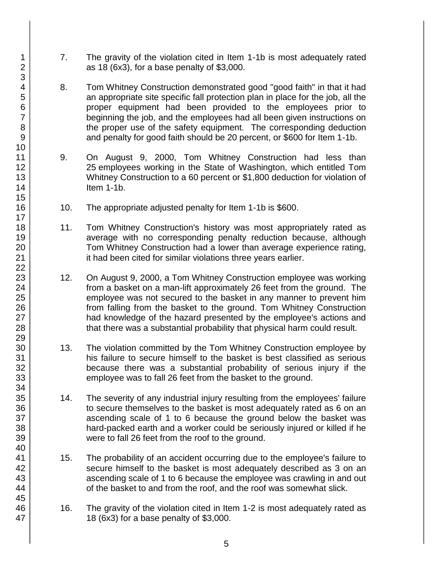- 7. The gravity of the violation cited in Item 1-1b is most adequately rated as 18 (6x3), for a base penalty of \$3,000.
- 8. Tom Whitney Construction demonstrated good "good faith" in that it had an appropriate site specific fall protection plan in place for the job, all the proper equipment had been provided to the employees prior to beginning the job, and the employees had all been given instructions on the proper use of the safety equipment. The corresponding deduction and penalty for good faith should be 20 percent, or \$600 for Item 1-1b.
- 9. On August 9, 2000, Tom Whitney Construction had less than 25 employees working in the State of Washington, which entitled Tom Whitney Construction to a 60 percent or \$1,800 deduction for violation of Item 1-1b.
- 10. The appropriate adjusted penalty for Item 1-1b is \$600.
- 11. Tom Whitney Construction's history was most appropriately rated as average with no corresponding penalty reduction because, although Tom Whitney Construction had a lower than average experience rating, it had been cited for similar violations three years earlier.
- 12. On August 9, 2000, a Tom Whitney Construction employee was working from a basket on a man-lift approximately 26 feet from the ground. The employee was not secured to the basket in any manner to prevent him from falling from the basket to the ground. Tom Whitney Construction had knowledge of the hazard presented by the employee's actions and that there was a substantial probability that physical harm could result.
- 13. The violation committed by the Tom Whitney Construction employee by his failure to secure himself to the basket is best classified as serious because there was a substantial probability of serious injury if the employee was to fall 26 feet from the basket to the ground.
- 14. The severity of any industrial injury resulting from the employees' failure to secure themselves to the basket is most adequately rated as 6 on an ascending scale of 1 to 6 because the ground below the basket was hard-packed earth and a worker could be seriously injured or killed if he were to fall 26 feet from the roof to the ground.
- 15. The probability of an accident occurring due to the employee's failure to secure himself to the basket is most adequately described as 3 on an ascending scale of 1 to 6 because the employee was crawling in and out of the basket to and from the roof, and the roof was somewhat slick.
- 16. The gravity of the violation cited in Item 1-2 is most adequately rated as 18 (6x3) for a base penalty of \$3,000.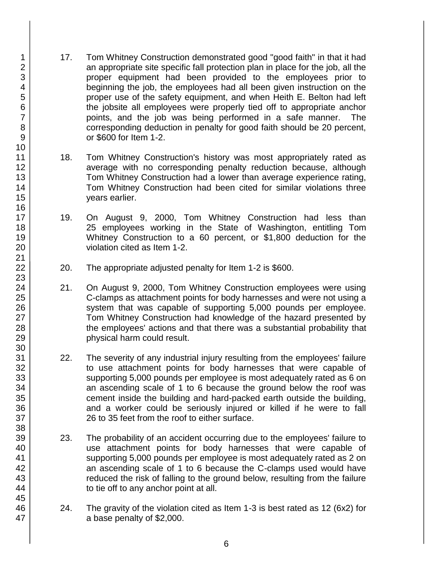- 17. Tom Whitney Construction demonstrated good "good faith" in that it had an appropriate site specific fall protection plan in place for the job, all the proper equipment had been provided to the employees prior to beginning the job, the employees had all been given instruction on the proper use of the safety equipment, and when Heith E. Belton had left the jobsite all employees were properly tied off to appropriate anchor points, and the job was being performed in a safe manner. The corresponding deduction in penalty for good faith should be 20 percent, or \$600 for Item 1-2.
- 18. Tom Whitney Construction's history was most appropriately rated as average with no corresponding penalty reduction because, although Tom Whitney Construction had a lower than average experience rating, Tom Whitney Construction had been cited for similar violations three years earlier.
- 19. On August 9, 2000, Tom Whitney Construction had less than 25 employees working in the State of Washington, entitling Tom Whitney Construction to a 60 percent, or \$1,800 deduction for the violation cited as Item 1-2.
- 20. The appropriate adjusted penalty for Item 1-2 is \$600.
- 21. On August 9, 2000, Tom Whitney Construction employees were using C-clamps as attachment points for body harnesses and were not using a system that was capable of supporting 5,000 pounds per employee. Tom Whitney Construction had knowledge of the hazard presented by the employees' actions and that there was a substantial probability that physical harm could result.
- 22. The severity of any industrial injury resulting from the employees' failure to use attachment points for body harnesses that were capable of supporting 5,000 pounds per employee is most adequately rated as 6 on an ascending scale of 1 to 6 because the ground below the roof was cement inside the building and hard-packed earth outside the building, and a worker could be seriously injured or killed if he were to fall 26 to 35 feet from the roof to either surface.
- 23. The probability of an accident occurring due to the employees' failure to use attachment points for body harnesses that were capable of supporting 5,000 pounds per employee is most adequately rated as 2 on an ascending scale of 1 to 6 because the C-clamps used would have reduced the risk of falling to the ground below, resulting from the failure to tie off to any anchor point at all.
- 24. The gravity of the violation cited as Item 1-3 is best rated as 12 (6x2) for a base penalty of \$2,000.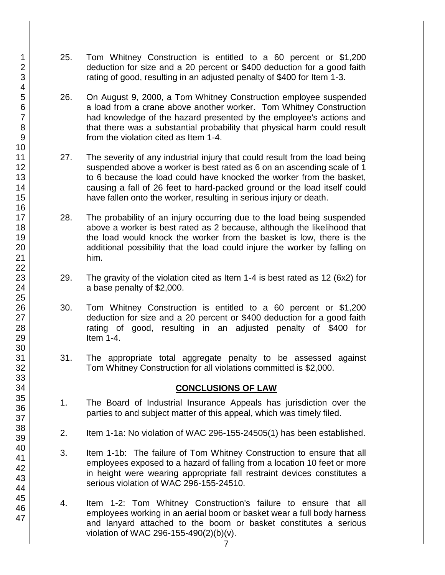- 25. Tom Whitney Construction is entitled to a 60 percent or \$1,200 deduction for size and a 20 percent or \$400 deduction for a good faith rating of good, resulting in an adjusted penalty of \$400 for Item 1-3.
- 26. On August 9, 2000, a Tom Whitney Construction employee suspended a load from a crane above another worker. Tom Whitney Construction had knowledge of the hazard presented by the employee's actions and that there was a substantial probability that physical harm could result from the violation cited as Item 1-4.
- 27. The severity of any industrial injury that could result from the load being suspended above a worker is best rated as 6 on an ascending scale of 1 to 6 because the load could have knocked the worker from the basket, causing a fall of 26 feet to hard-packed ground or the load itself could have fallen onto the worker, resulting in serious injury or death.
- 28. The probability of an injury occurring due to the load being suspended above a worker is best rated as 2 because, although the likelihood that the load would knock the worker from the basket is low, there is the additional possibility that the load could injure the worker by falling on him.
- 29. The gravity of the violation cited as Item 1-4 is best rated as 12 (6x2) for a base penalty of \$2,000.
- 30. Tom Whitney Construction is entitled to a 60 percent or \$1,200 deduction for size and a 20 percent or \$400 deduction for a good faith rating of good, resulting in an adjusted penalty of \$400 for Item 1-4.
- 31. The appropriate total aggregate penalty to be assessed against Tom Whitney Construction for all violations committed is \$2,000.

#### **CONCLUSIONS OF LAW**

- 1. The Board of Industrial Insurance Appeals has jurisdiction over the parties to and subject matter of this appeal, which was timely filed.
- 2. Item 1-1a: No violation of WAC 296-155-24505(1) has been established.
- 3. Item 1-1b: The failure of Tom Whitney Construction to ensure that all employees exposed to a hazard of falling from a location 10 feet or more in height were wearing appropriate fall restraint devices constitutes a serious violation of WAC 296-155-24510.
- 4. Item 1-2: Tom Whitney Construction's failure to ensure that all employees working in an aerial boom or basket wear a full body harness and lanyard attached to the boom or basket constitutes a serious violation of WAC 296-155-490(2)(b)(v).

47